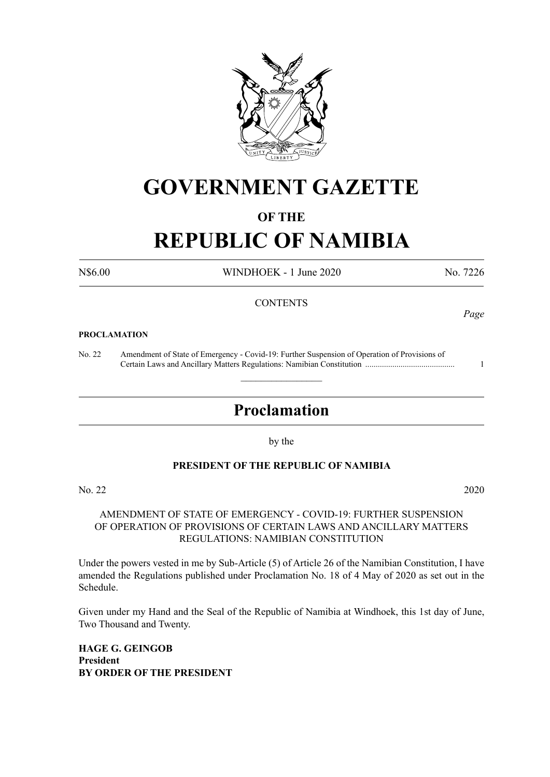

# **GOVERNMENT GAZETTE**

#### **OF THE**

# **REPUBLIC OF NAMIBIA**

N\$6.00 WINDHOEK - 1 June 2020 No. 7226

#### **CONTENTS**

#### **PROCLAMATION**

No. 22 Amendment of State of Emergency - Covid-19: Further Suspension of Operation of Provisions of Certain Laws and Ancillary Matters Regulations: Namibian Constitution ........................................... 1

# **Proclamation**

 $\overline{\phantom{a}}$  , where  $\overline{\phantom{a}}$ 

by the

#### **PRESIDENT OF THE REPUBLIC OF NAMIBIA**

No. 22 2020

#### AMENDMENT OF STATE OF EMERGENCY - COVID-19: FURTHER SUSPENSION OF OPERATION OF PROVISIONS OF CERTAIN LAWS AND ANCILLARY MATTERS REGULATIONS: NAMIBIAN CONSTITUTION

Under the powers vested in me by Sub-Article (5) of Article 26 of the Namibian Constitution, I have amended the Regulations published under Proclamation No. 18 of 4 May of 2020 as set out in the Schedule.

Given under my Hand and the Seal of the Republic of Namibia at Windhoek, this 1st day of June, Two Thousand and Twenty.

**HAGE G. GEINGOB President BY ORDER OF THE PRESIDENT**

*Page*